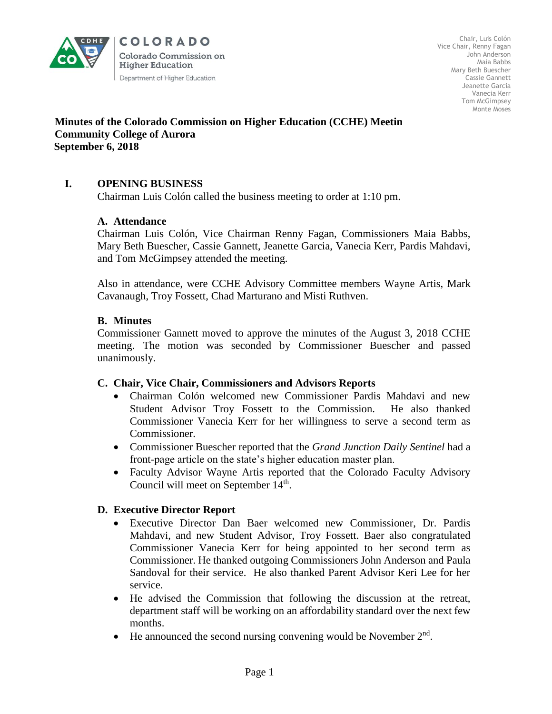

COLORADO **Colorado Commission on Higher Education** Department of Higher Education

Chair, Luis Colón Vice Chair, Renny Fagan John Anderson Maia Babbs Mary Beth Buescher Cassie Gannett Jeanette Garcia Vanecia Kerr Tom McGimpsey Monte Moses

# **Minutes of the Colorado Commission on Higher Education (CCHE) Meeting Community College of Aurora September 6, 2018**

# **I. OPENING BUSINESS**

Chairman Luis Colón called the business meeting to order at 1:10 pm.

### **A. Attendance**

Chairman Luis Colón, Vice Chairman Renny Fagan, Commissioners Maia Babbs, Mary Beth Buescher, Cassie Gannett, Jeanette Garcia, Vanecia Kerr, Pardis Mahdavi, and Tom McGimpsey attended the meeting.

Also in attendance, were CCHE Advisory Committee members Wayne Artis, Mark Cavanaugh, Troy Fossett, Chad Marturano and Misti Ruthven.

### **B. Minutes**

Commissioner Gannett moved to approve the minutes of the August 3, 2018 CCHE meeting. The motion was seconded by Commissioner Buescher and passed unanimously.

#### **C. Chair, Vice Chair, Commissioners and Advisors Reports**

- Chairman Colón welcomed new Commissioner Pardis Mahdavi and new Student Advisor Troy Fossett to the Commission. He also thanked Commissioner Vanecia Kerr for her willingness to serve a second term as Commissioner.
- Commissioner Buescher reported that the *Grand Junction Daily Sentinel* had a front-page article on the state's higher education master plan.
- Faculty Advisor Wayne Artis reported that the Colorado Faculty Advisory Council will meet on September 14<sup>th</sup>.

# **D. Executive Director Report**

- Executive Director Dan Baer welcomed new Commissioner, Dr. Pardis Mahdavi, and new Student Advisor, Troy Fossett. Baer also congratulated Commissioner Vanecia Kerr for being appointed to her second term as Commissioner. He thanked outgoing Commissioners John Anderson and Paula Sandoval for their service. He also thanked Parent Advisor Keri Lee for her service.
- He advised the Commission that following the discussion at the retreat, department staff will be working on an affordability standard over the next few months.
- $\bullet$  He announced the second nursing convening would be November  $2<sup>nd</sup>$ .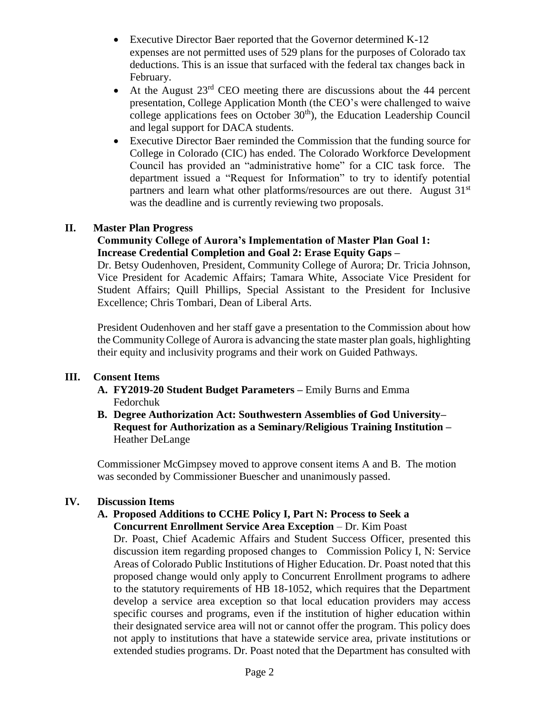- Executive Director Baer reported that the Governor determined K-12 expenses are not permitted uses of 529 plans for the purposes of Colorado tax deductions. This is an issue that surfaced with the federal tax changes back in February.
- At the August  $23<sup>rd</sup>$  CEO meeting there are discussions about the 44 percent presentation, College Application Month (the CEO's were challenged to waive college applications fees on October  $30<sup>th</sup>$ ), the Education Leadership Council and legal support for DACA students.
- Executive Director Baer reminded the Commission that the funding source for College in Colorado (CIC) has ended. The Colorado Workforce Development Council has provided an "administrative home" for a CIC task force. The department issued a "Request for Information" to try to identify potential partners and learn what other platforms/resources are out there. August 31<sup>st</sup> was the deadline and is currently reviewing two proposals.

# **II. Master Plan Progress**

### **Community College of Aurora's Implementation of Master Plan Goal 1: Increase Credential Completion and Goal 2: Erase Equity Gaps –**

Dr. Betsy Oudenhoven, President, Community College of Aurora; Dr. Tricia Johnson, Vice President for Academic Affairs; Tamara White, Associate Vice President for Student Affairs; Quill Phillips, Special Assistant to the President for Inclusive Excellence; Chris Tombari, Dean of Liberal Arts.

President Oudenhoven and her staff gave a presentation to the Commission about how the Community College of Aurora is advancing the state master plan goals, highlighting their equity and inclusivity programs and their work on Guided Pathways.

### **III. Consent Items**

- **A. FY2019-20 Student Budget Parameters –** Emily Burns and Emma Fedorchuk
- **B. Degree Authorization Act: Southwestern Assemblies of God University– Request for Authorization as a Seminary/Religious Training Institution –** Heather DeLange

 Commissioner McGimpsey moved to approve consent items A and B. The motion was seconded by Commissioner Buescher and unanimously passed.

#### **IV. Discussion Items**

#### **A. Proposed Additions to CCHE Policy I, Part N: Process to Seek a Concurrent Enrollment Service Area Exception** – Dr. Kim Poast

Dr. Poast, Chief Academic Affairs and Student Success Officer, presented this discussion item regarding proposed changes to Commission Policy I, N: Service Areas of Colorado Public Institutions of Higher Education. Dr. Poast noted that this proposed change would only apply to Concurrent Enrollment programs to adhere to the statutory requirements of HB 18-1052, which requires that the Department develop a service area exception so that local education providers may access specific courses and programs, even if the institution of higher education within their designated service area will not or cannot offer the program. This policy does not apply to institutions that have a statewide service area, private institutions or extended studies programs. Dr. Poast noted that the Department has consulted with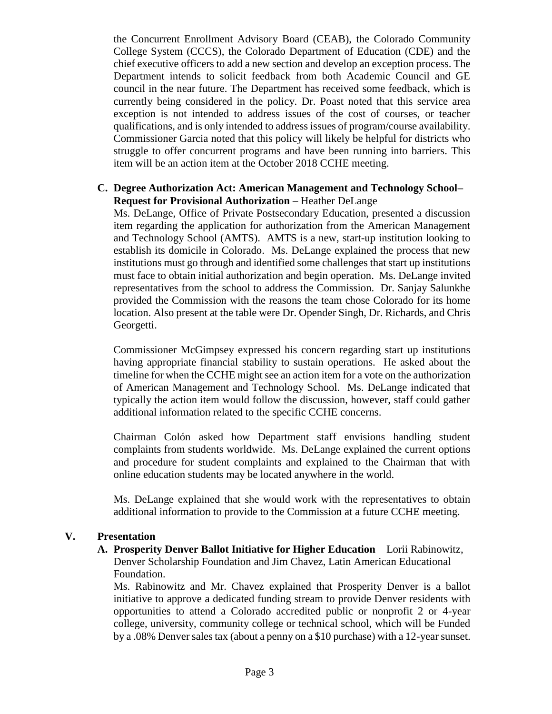the Concurrent Enrollment Advisory Board (CEAB), the Colorado Community College System (CCCS), the Colorado Department of Education (CDE) and the chief executive officers to add a new section and develop an exception process. The Department intends to solicit feedback from both Academic Council and GE council in the near future. The Department has received some feedback, which is currently being considered in the policy. Dr. Poast noted that this service area exception is not intended to address issues of the cost of courses, or teacher qualifications, and is only intended to address issues of program/course availability. Commissioner Garcia noted that this policy will likely be helpful for districts who struggle to offer concurrent programs and have been running into barriers. This item will be an action item at the October 2018 CCHE meeting.

### **C. Degree Authorization Act: American Management and Technology School– Request for Provisional Authorization** – Heather DeLange

Ms. DeLange, Office of Private Postsecondary Education, presented a discussion item regarding the application for authorization from the American Management and Technology School (AMTS). AMTS is a new, start-up institution looking to establish its domicile in Colorado. Ms. DeLange explained the process that new institutions must go through and identified some challenges that start up institutions must face to obtain initial authorization and begin operation. Ms. DeLange invited representatives from the school to address the Commission. Dr. Sanjay Salunkhe provided the Commission with the reasons the team chose Colorado for its home location. Also present at the table were Dr. Opender Singh, Dr. Richards, and Chris Georgetti.

Commissioner McGimpsey expressed his concern regarding start up institutions having appropriate financial stability to sustain operations. He asked about the timeline for when the CCHE might see an action item for a vote on the authorization of American Management and Technology School. Ms. DeLange indicated that typically the action item would follow the discussion, however, staff could gather additional information related to the specific CCHE concerns.

Chairman Colón asked how Department staff envisions handling student complaints from students worldwide. Ms. DeLange explained the current options and procedure for student complaints and explained to the Chairman that with online education students may be located anywhere in the world.

Ms. DeLange explained that she would work with the representatives to obtain additional information to provide to the Commission at a future CCHE meeting.

#### **V. Presentation**

### A. Prosperity Denver Ballot Initiative for Higher Education – Lorii Rabinowitz, Denver Scholarship Foundation and Jim Chavez, Latin American Educational Foundation.

Ms. Rabinowitz and Mr. Chavez explained that Prosperity Denver is a ballot initiative to approve a dedicated funding stream to provide Denver residents with opportunities to attend a Colorado accredited public or nonprofit 2 or 4-year college, university, community college or technical school, which will be Funded by a .08% Denver sales tax (about a penny on a \$10 purchase) with a 12-year sunset.